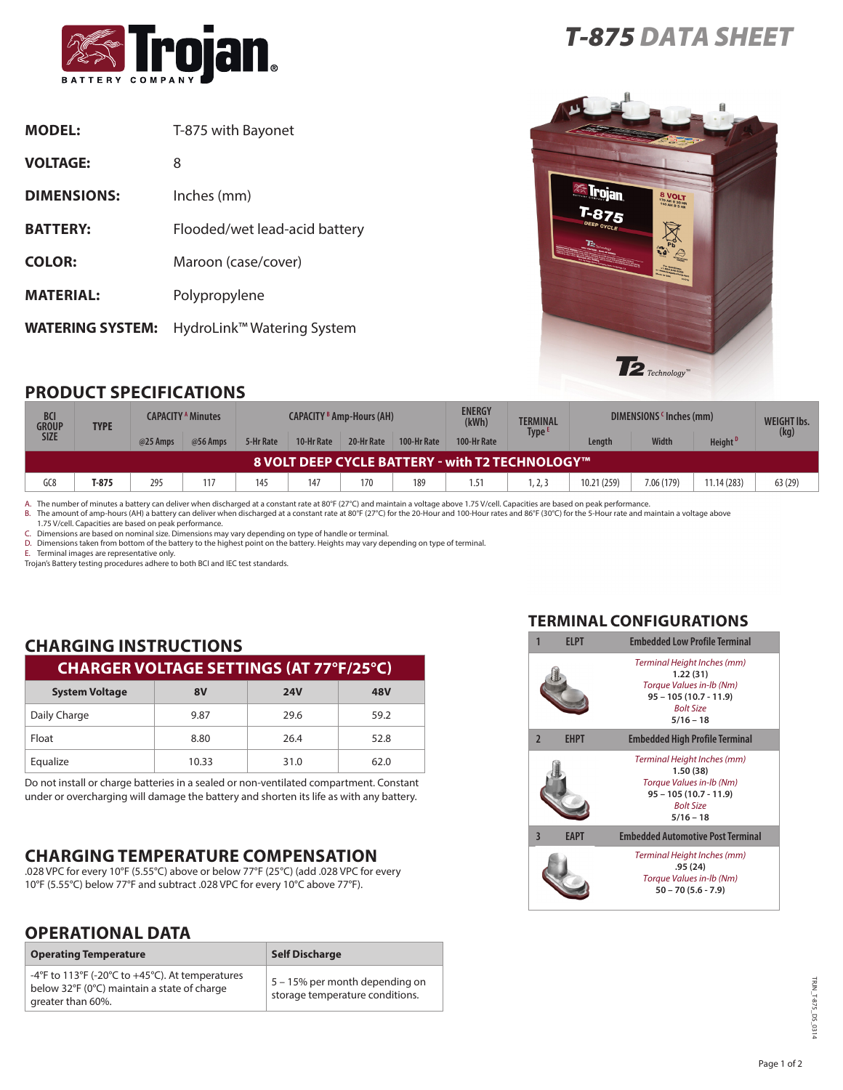

| <b>MODEL:</b>           | T-875 with Bayonet            |
|-------------------------|-------------------------------|
| <b>VOLTAGE:</b>         | 8                             |
| <b>DIMENSIONS:</b>      | Inches (mm)                   |
| <b>BATTERY:</b>         | Flooded/wet lead-acid battery |
| <b>COLOR:</b>           | Maroon (case/cover)           |
| <b>MATERIAL:</b>        | Polypropylene                 |
| <b>WATERING SYSTEM:</b> | HydroLink™ Watering System    |





## **PRODUCT SPECIFICATIONS**

| <b>BCI</b><br>GROUP<br><b>SIZE</b>                     | <b>TYPE</b> | <b>CAPACITY <sup>A</sup> Minutes</b> |          | <b>CAPACITY 8 Amp-Hours (AH)</b> |            |            | <b>ENERGY</b><br>(kWh) | <b>TERMINAL</b> | DIMENSIONS 'Inches (mm) |             |              | <b>WEIGHT Ibs.</b>  |         |
|--------------------------------------------------------|-------------|--------------------------------------|----------|----------------------------------|------------|------------|------------------------|-----------------|-------------------------|-------------|--------------|---------------------|---------|
|                                                        |             | @25 Amps                             | @56 Amps | 5-Hr Rate                        | 10-Hr Rate | 20-Hr Rate | 100-Hr Rate            | 100-Hr Rate     | Type <sup>E</sup>       | Lenath      | <b>Width</b> | Height <sup>D</sup> | (kg)    |
| <b>8 VOLT DEEP CYCLE BATTERY - with T2 TECHNOLOGY™</b> |             |                                      |          |                                  |            |            |                        |                 |                         |             |              |                     |         |
| GC8                                                    | T-875       | 295                                  | 117      | 145                              | 147        | 170        | 189                    | 1.51            | 1, 2, 3                 | 10.21 (259) | 7.06 (179)   | 11.14(283)          | 63 (29) |

A. The number of minutes a battery can deliver when discharged at a constant rate at 80°F (27°C) and maintain a voltage above 1.75 V/cell. Capacities are based on peak performance.<br>B. The amount of amp-hours (AH) a battery

1.75 V/cell. Capacities are based on peak performance.

C. Dimensions are based on nominal size. Dimensions may vary depending on type of handle or terminal.

D. Dimensions taken from bottom of the battery to the highest point on the battery. Heights may vary depending on type of terminal.

E. Terminal images are representative only.

Trojan's Battery testing procedures adhere to both BCI and IEC test standards.

# **CHARGING INSTRUCTIONS**

| <b>CHARGER VOLTAGE SETTINGS (AT 77°F/25°C)</b> |       |            |      |  |
|------------------------------------------------|-------|------------|------|--|
| <b>System Voltage</b>                          | 8V    | <b>24V</b> | 48V  |  |
| Daily Charge                                   | 9.87  | 29.6       | 59.2 |  |
| Float                                          | 8.80  | 26.4       | 52.8 |  |
| Equalize                                       | 10.33 | 31.0       | 62.0 |  |

Do not install or charge batteries in a sealed or non-ventilated compartment. Constant under or overcharging will damage the battery and shorten its life as with any battery.

## **CHARGING TEMPERATURE COMPENSATION**

.028 VPC for every 10°F (5.55°C) above or below 77°F (25°C) (add .028 VPC for every 10°F (5.55°C) below 77°F and subtract .028 VPC for every 10°C above 77°F).

### **OPERATIONAL DATA**

| <b>Operating Temperature</b>                                                                                        | <b>Self Discharge</b>                                             |
|---------------------------------------------------------------------------------------------------------------------|-------------------------------------------------------------------|
| -4°F to 113°F (-20°C to +45°C). At temperatures<br>below 32°F (0°C) maintain a state of charge<br>greater than 60%. | 5 – 15% per month depending on<br>storage temperature conditions. |

#### **TERMINAL CONFIGURATIONS**

|                         | <b>FIPT</b> | <b>Embedded Low Profile Terminal</b>                                                                                              |  |  |  |  |
|-------------------------|-------------|-----------------------------------------------------------------------------------------------------------------------------------|--|--|--|--|
|                         |             | Terminal Height Inches (mm)<br>1.22(31)<br>Torque Values in-lb (Nm)<br>$95 - 105(10.7 - 11.9)$<br><b>Bolt Size</b><br>$5/16 - 18$ |  |  |  |  |
| $\overline{2}$          | <b>EHPT</b> | <b>Embedded High Profile Terminal</b>                                                                                             |  |  |  |  |
|                         |             | Terminal Height Inches (mm)<br>1.50(38)<br>Torque Values in-Ib (Nm)<br>$95 - 105(10.7 - 11.9)$<br><b>Bolt Size</b><br>$5/16 - 18$ |  |  |  |  |
| $\overline{\mathbf{3}}$ | <b>EAPT</b> | <b>Embedded Automotive Post Terminal</b>                                                                                          |  |  |  |  |
|                         |             | Terminal Height Inches (mm)<br>.95(24)<br>Torque Values in-Ib (Nm)<br>$50 - 70(5.6 - 7.9)$                                        |  |  |  |  |